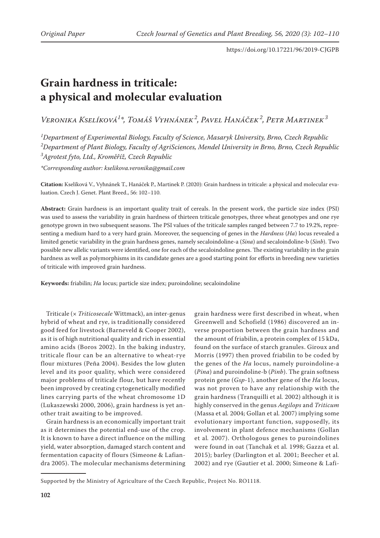# **Grain hardness in triticale: a physical and molecular evaluation**

*Veronika Kselíková1 \*, Tomáš Vyhnánek<sup>2</sup> , Pavel Hanáček<sup>2</sup> , Petr Martinek<sup>3</sup>*

*1 Department of Experimental Biology, Faculty of Science, Masaryk University, Brno, Czech Republic 2 Department of Plant Biology, Faculty of AgriSciences, Mendel University in Brno, Brno, Czech Republic 3 Agrotest fyto, Ltd., Kroměříž, Czech Republic*

*\*Corresponding author: kselikova.veronika@gmail.com*

**Citation:** Kselíková V., Vyhnánek T., Hanáček P., Martinek P. (2020): Grain hardness in triticale: a physical and molecular evaluation. Czech J. Genet. Plant Breed., 56: 102−110.

**Abstract:** Grain hardness is an important quality trait of cereals. In the present work, the particle size index (PSI) was used to assess the variability in grain hardness of thirteen triticale genotypes, three wheat genotypes and one rye genotype grown in two subsequent seasons. The PSI values of the triticale samples ranged between 7.7 to 19.2%, representing a medium hard to a very hard grain. Moreover, the sequencing of genes in the *Hardness* (*Ha*) locus revealed a limited genetic variability in the grain hardness genes, namely secaloindoline-a (*Sina*) and secaloindoline-b (*Sinb*). Two possible new allelic variants were identified, one for each of the secaloindoline genes. The existing variability in the grain hardness as well as polymorphisms in its candidate genes are a good starting point for efforts in breeding new varieties of triticale with improved grain hardness.

**Keywords:** friabilin; *Ha* locus; particle size index; puroindoline; secaloindoline

Triticale (× *Triticosecale* Wittmack), an inter-genus hybrid of wheat and rye, is traditionally considered good feed for livestock (Barneveld & Cooper 2002), as it is of high nutritional quality and rich in essential amino acids (Boros 2002). In the baking industry, triticale flour can be an alternative to wheat-rye flour mixtures (Peña 2004). Besides the low gluten level and its poor quality, which were considered major problems of triticale flour, but have recently been improved by creating cytogenetically modified lines carrying parts of the wheat chromosome 1D (Lukaszewski 2000, 2006), grain hardness is yet another trait awaiting to be improved.

Grain hardness is an economically important trait as it determines the potential end-use of the crop. It is known to have a direct influence on the milling yield, water absorption, damaged starch content and fermentation capacity of flours (Simeone & Lafiandra 2005). The molecular mechanisms determining

grain hardness were first described in wheat, when Greenwell and Schofield (1986) discovered an inverse proportion between the grain hardness and the amount of friabilin, a protein complex of 15 kDa, found on the surface of starch granules. Giroux and Morris (1997) then proved friabilin to be coded by the genes of the *Ha* locus, namely puroindoline-a (*Pina*) and puroindoline-b (*Pinb*). The grain softness protein gene (*Gsp-*1), another gene of the *Ha* locus, was not proven to have any relationship with the grain hardness (Tranquilli et al*.* 2002) although it is highly conserved in the genus *Aegilops* and *Triticum*  (Massa et al*.* 2004; Gollan et al*.* 2007) implying some evolutionary important function, supposedly, its involvement in plant defence mechanisms (Gollan et al*.* 2007). Orthologous genes to puroindolines were found in oat (Tanchak et al*.* 1998; Gazza et al*.* 2015); barley (Darlington et al*.* 2001; Beecher et al*.* 2002) and rye (Gautier et al. 2000; Simeone & Lafi-

Supported by the Ministry of Agriculture of the Czech Republic, Project No. RO1118.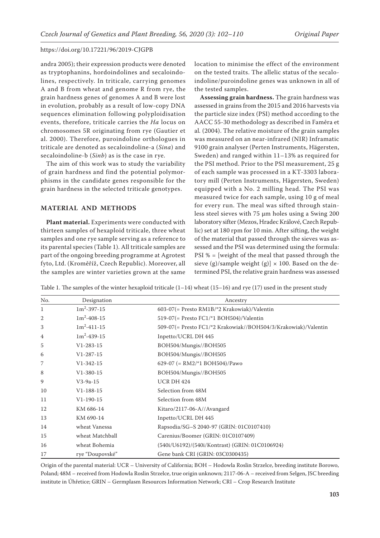andra 2005); their expression products were denoted as tryptophanins, hordoindolines and secaloindolines, respectively. In triticale, carrying genomes A and B from wheat and genome R from rye, the grain hardness genes of genomes A and B were lost in evolution, probably as a result of low-copy DNA sequences elimination following polyploidisation events, therefore, triticale carries the *Ha* locus on chromosomes 5R originating from rye (Gautier et al. 2000). Therefore, puroindoline orthologues in triticale are denoted as secaloindoline-a (*Sina*) and secaloindoline-b (*Sinb*) as is the case in rye.

The aim of this work was to study the variability of grain hardness and find the potential polymorphisms in the candidate genes responsible for the grain hardness in the selected triticale genotypes.

## **MATERIAL AND METHODS**

**Plant material.** Experiments were conducted with thirteen samples of hexaploid triticale, three wheat samples and one rye sample serving as a reference to its parental species (Table 1). All triticale samples are part of the ongoing breeding programme at Agrotest fyto, Ltd. (Kroměříž, Czech Republic). Moreover, all the samples are winter varieties grown at the same location to minimise the effect of the environment on the tested traits. The allelic status of the secaloindoline/puroindoline genes was unknown in all of the tested samples.

**Assessing grain hardness.** The grain hardness was assessed in grains from the 2015 and 2016 harvests via the particle size index (PSI) method according to the AACC 55-30 methodology as described in Faměra et al*.* (2004). The relative moisture of the grain samples was measured on an near-infrared (NIR) Inframatic 9100 grain analyser (Perten Instruments, Hägersten, Sweden) and ranged within 11–13% as required for the PSI method. Prior to the PSI measurement, 25 g of each sample was processed in a KT-3303 laboratory mill (Perten Instruments, Hägersten, Sweden) equipped with a No. 2 milling head. The PSI was measured twice for each sample, using 10 g of meal for every run. The meal was sifted through stainless steel sieves with 75 µm holes using a Swing 200 laboratory sifter (Mezos, Hradec Králové, Czech Republic) set at 180 rpm for 10 min. After sifting, the weight of the material that passed through the sieves was assessed and the PSI was determined using the formula: PSI % = [weight of the meal that passed through the sieve (g)/sample weight (g)]  $\times$  100. Based on the determined PSI, the relative grain hardness was assessed

Table 1. The samples of the winter hexaploid triticale  $(1-14)$  wheat  $(15-16)$  and rye  $(17)$  used in the present study

| No.            | Designation       | Ancestry                                                       |
|----------------|-------------------|----------------------------------------------------------------|
| 1              | $1m^2 - 397 - 15$ | 603-07(= Presto RM1B/*2 Krakowiak)/Valentin                    |
| $\overline{2}$ | $1m^2 - 408 - 15$ | 519-07(= Presto FC1/*1 BOH504)/Valentin                        |
| 3              | $1m^2 - 411 - 15$ | 509-07(= Presto FC1/*2 Krakowiak//BOH504/3/Krakowiak)/Valentin |
| 4              | $1m^2 - 439 - 15$ | Inpetto/UCRL DH 445                                            |
| 5              | $V1-283-15$       | BOH504/Mungis//BOH505                                          |
| 6              | $V1-287-15$       | BOH504/Mungis//BOH505                                          |
| 7              | $V1 - 342 - 15$   | 629-07 (= RM2/*1 BOH504)/Pawo                                  |
| 8              | $V1-380-15$       | BOH504/Mungis//BOH505                                          |
| 9              | $V3-9a-15$        | <b>UCR DH 424</b>                                              |
| 10             | $V1-188-15$       | Selection from 48M                                             |
| 11             | $V1-190-15$       | Selection from 48M                                             |
| 12             | KM 686-14         | Kitaro/2117-06-A//Avangard                                     |
| 13             | KM 690-14         | Inpetto/UCRL DH 445                                            |
| 14             | wheat Vanessa     | Rapsodia/SG-S 2040-97 (GRIN: 01C0107410)                       |
| 15             | wheat Matchball   | Carenius/Boomer (GRIN: 01C0107409)                             |
| 16             | wheat Bohemia     | (540i/U6192)/(540i/Kontrast) (GRIN: 01C0106924)                |
| 17             | rye "Doupovské"   | Gene bank CRI (GRIN: 03C0300435)                               |

Origin of the parental material: UCR – University of California; BOH – Hodowla Roslin Strzelce, breeding institute Borowo, Poland; 48M – received from Hodowla Roslin Strzelce, true origin unknown; 2117-06-A – received from Selgen, JSC breeding institute in Úhřetice; GRIN – Germplasm Resources Information Network; CRI – Crop Research Institute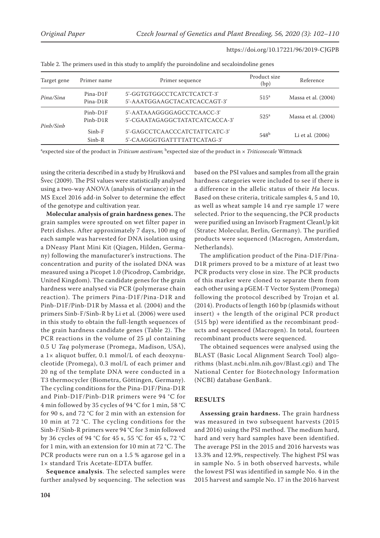| Primer sequence<br>Primer name<br>5'-GGTGTGGCCTCATCTCATCT-3'<br>Pina-D1F<br>5'-AAATGGAAGCTACATCACCAGT-3'<br>Pina-D1R<br>5'-AATAAAGGGGAGCCTCAACC-3'<br>$Pinb-D1F$<br>5'-CGAATAGAGGCTATATCATCACCA-3'<br>$Pinb-D1R$<br>Pinb/Sinb |                      |                                                              |                      |                     |
|-------------------------------------------------------------------------------------------------------------------------------------------------------------------------------------------------------------------------------|----------------------|--------------------------------------------------------------|----------------------|---------------------|
| Target gene                                                                                                                                                                                                                   |                      |                                                              | Product size<br>(bp) | Reference           |
| Pina/Sina                                                                                                                                                                                                                     |                      |                                                              | 515 <sup>a</sup>     | Massa et al. (2004) |
|                                                                                                                                                                                                                               |                      |                                                              | 525 <sup>a</sup>     | Massa et al. (2004) |
|                                                                                                                                                                                                                               | $Sinh-F$<br>$Sinb-R$ | 5'-GAGCCTCAACCCATCTATTCATC-3'<br>5'-CAAGGGTGATTTTATTCATAG-3' | 548 <sup>b</sup>     | Li et al. (2006)    |

Table 2. The primers used in this study to amplify the puroindoline and secaloindoline genes

<sup>a</sup>expected size of the product in *Triticum aestivum*; <sup>b</sup>expected size of the product in × *Triticosecale* Wittmack

using the criteria described in a study by Hrušková and Švec (2009). The PSI values were statistically analysed using a two-way ANOVA (analysis of variance) in the MS Excel 2016 add-in Solver to determine the effect of the genotype and cultivation year.

**Molecular analysis of grain hardness genes.** The grain samples were sprouted on wet filter paper in Petri dishes. After approximately 7 days, 100 mg of each sample was harvested for DNA isolation using a DNeasy Plant Mini Kit (Qiagen, Hilden, Germany) following the manufacturer's instructions. The concentration and purity of the isolated DNA was measured using a Picopet 1.0 (Picodrop, Cambridge, United Kingdom). The candidate genes for the grain hardness were analysed via PCR (polymerase chain reaction). The primers Pina-D1F/Pina-D1R and Pinb-D1F/Pinb-D1R by Massa et al*.* (2004) and the primers Sinb-F/Sinb-R by Li et al*.* (2006) were used in this study to obtain the full-length sequences of the grain hardness candidate genes (Table 2). The PCR reactions in the volume of 25 µl containing 0.5 U *Taq* polymerase (Promega, Madison, USA), a 1× aliquot buffer, 0.1 mmol/L of each deoxynucleotide (Promega), 0.3 mol/L of each primer and 20 ng of the template DNA were conducted in a T3 thermocycler (Biometra, Göttingen, Germany). The cycling conditions for the Pina-D1F/Pina-D1R and Pinb-D1F/Pinb-D1R primers were 94 °C for 4 min followed by 35 cycles of 94 °C for 1 min, 58 °C for 90 s, and 72 °C for 2 min with an extension for 10 min at 72 °C. The cycling conditions for the Sinb-F/Sinb-R primers were 94 °C for 3 min followed by 36 cycles of 94 °C for 45 s, 55 °C for 45 s, 72 °C for 1 min, with an extension for 10 min at 72 °C. The PCR products were run on a 1.5 % agarose gel in a 1× standard Tris Acetate-EDTA buffer.

**Sequence analysis**. The selected samples were further analysed by sequencing. The selection was based on the PSI values and samples from all the grain hardness categories were included to see if there is a difference in the allelic status of their *Ha* locus. Based on these criteria, triticale samples 4, 5 and 10, as well as wheat sample 14 and rye sample 17 were selected. Prior to the sequencing, the PCR products were purified using an Invisorb Fragment CleanUp kit (Stratec Molecular, Berlin, Germany). The purified products were sequenced (Macrogen, Amsterdam, Netherlands).

https://doi.org/10.17221/96/2019-CJGPB

The amplification product of the Pina-D1F/Pina-D1R primers proved to be a mixture of at least two PCR products very close in size. The PCR products of this marker were cloned to separate them from each other using a pGEM-T Vector System (Promega) following the protocol described by Trojan et al*.* (2014). Products of length 160 bp (plasmids without insert) + the length of the original PCR product (515 bp) were identified as the recombinant products and sequenced (Macrogen). In total, fourteen recombinant products were sequenced.

The obtained sequences were analysed using the BLAST (Basic Local Alignment Search Tool) algorithms (blast.ncbi.nlm.nih.gov/Blast.cgi) and The National Center for Biotechnology Information (NCBI) database GenBank.

# **RESULTS**

**Assessing grain hardness.** The grain hardness was measured in two subsequent harvests (2015 and 2016) using the PSI method. The medium hard, hard and very hard samples have been identified. The average PSI in the 2015 and 2016 harvests was 13.3% and 12.9%, respectively. The highest PSI was in sample No. 5 in both observed harvests, while the lowest PSI was identified in sample No. 4 in the 2015 harvest and sample No. 17 in the 2016 harvest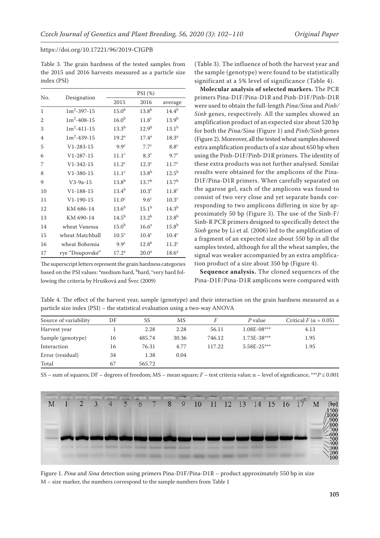Table 3. The grain hardness of the tested samples from the 2015 and 2016 harvests measured as a particle size index (PSI)

| No.            |                   |                   | PSI (%)           |                   |
|----------------|-------------------|-------------------|-------------------|-------------------|
|                | Designation       | 2015              | 2016              | average           |
| 1              | $1m^2 - 397 - 15$ | 15.0 <sup>b</sup> | $13.8^{b}$        | $14.4^{b}$        |
| $\mathfrak{D}$ | $1m^2 - 408 - 15$ | 16.0 <sup>b</sup> | 11.8 <sup>c</sup> | $13.9^{b}$        |
| 3              | $1m^2 - 411 - 15$ | $13.3^{b}$        | 12.9 <sup>b</sup> | $13.1^{b}$        |
| 4              | $1m^2 - 439 - 15$ | 19.2 <sup>a</sup> | $17.4^a$          | 18.3 <sup>a</sup> |
| 5              | $V1 - 283 - 15$   | 9.9 <sup>c</sup>  | 7.7 <sup>c</sup>  | 8.8 <sup>c</sup>  |
| 6              | $V1 - 287 - 15$   | 11.1 <sup>c</sup> | 8.3 <sup>c</sup>  | 9.7 <sup>c</sup>  |
| 7              | $V1 - 342 - 15$   | 11.2 <sup>c</sup> | 12.3 <sup>c</sup> | 11.7 <sup>c</sup> |
| 8              | $V1 - 380 - 15$   | 11.1 <sup>c</sup> | 13.8 <sup>b</sup> | $12.5^{\rm b}$    |
| 9              | $V3-9a-15$        | 13.8 <sup>b</sup> | $13.7^{b}$        | $13.7^{b}$        |
| 10             | $V1 - 188 - 15$   | $13.4^{\rm b}$    | $10.3^{\circ}$    | 11.8 <sup>c</sup> |
| 11             | $V1 - 190 - 15$   | 11.0 <sup>c</sup> | $9.6^\circ$       | 10.3 <sup>c</sup> |
| 12             | KM 686-14         | $13.6^{b}$        | $15.1^{b}$        | $14.3^{b}$        |
| 13             | KM 690-14         | $14.5^{b}$        | $13.2^{b}$        | $13.8^{b}$        |
| 14             | wheat Vanessa     | $15.0^{b}$        | $16.6^a$          | $15.8^{b}$        |
| 15             | wheat Matchball   | 10.5 <sup>c</sup> | 10.4 <sup>c</sup> | $10.4^{\circ}$    |
| 16             | wheat Bohemia     | 9.9 <sup>c</sup>  | $12.8^{b}$        | 11.3 <sup>c</sup> |
| 17             | rye "Doupovské"   | 17.2 <sup>a</sup> | 20.0 <sup>a</sup> | 18.6 <sup>a</sup> |

The superscript letters represent the grain hardness categories based on the PSI values: <sup>a</sup>medium hard, <sup>b</sup>hard, <sup>c</sup>very hard following the criteria by Hrušková and Švec (2009)

(Table 3). The influence of both the harvest year and the sample (genotype) were found to be statistically significant at a 5% level of significance (Table 4).

**Molecular analysis of selected markers.** The PCR primers Pina-D1F/Pina-D1R and Pinb-D1F/Pinb-D1R were used to obtain the full-length *Pina/Sina* and *Pinb/ Sinb* genes, respectively. All the samples showed an amplification product of an expected size about 520 bp for both the *Pina/Sina* (Figure 1) and *Pinb/Sinb* genes (Figure 2). Moreover, all the tested wheat samples showed extra amplification products of a size about 650 bp when using the Pinb-D1F/Pinb-D1R primers. The identity of these extra products was not further analysed. Similar results were obtained for the amplicons of the Pina-D1F/Pina-D1R primers. When carefully separated on the agarose gel, each of the amplicons was found to consist of two very close and yet separate bands corresponding to two amplicons differing in size by approximately 50 bp (Figure 3). The use of the Sinb-F/ Sinb-R PCR primers designed to specifically detect the *Sinb* gene by Li et al*.* (2006) led to the amplification of a fragment of an expected size about 550 bp in all the samples tested, although for all the wheat samples, the signal was weaker accompanied by an extra amplification product of a size about 350 bp (Figure 4).

**Sequence analysis.** The cloned sequences of the Pina-D1F/Pina-D1R amplicons were compared with

Table 4. The effect of the harvest year, sample (genotype) and their interaction on the grain hardness measured as a particle size index (PSI) – the statistical evaluation using a two-way ANOVA

| Source of variability | DF | SS     | MS    |        | P value       | Critical $F(\alpha = 0.05)$ |
|-----------------------|----|--------|-------|--------|---------------|-----------------------------|
| Harvest year          |    | 2.28   | 2.28  | 56.11  | $1.08E-08***$ | 4.13                        |
| Sample (genotype)     | 16 | 485.74 | 30.36 | 746.12 | 1.73E-38***   | 1.95                        |
| Interaction           | 16 | 76.31  | 4.77  | 117.22 | $5.58E-25***$ | 1.95                        |
| Error (residual)      | 34 | 1.38   | 0.04  |        |               |                             |
| Total                 | 67 | 565.72 |       |        |               |                             |

SS – sum of squares; DF – degrees of freedom; MS – mean square; *F* – test criteria value; α – level of significance, \*\*\**P* ≤ 0.001



Figure 1. *Pina* and *Sina* detection using primers Pina-D1F/Pina-D1R – product approximately 550 bp in size M – size marker, the numbers correspond to the sample numbers from Table 1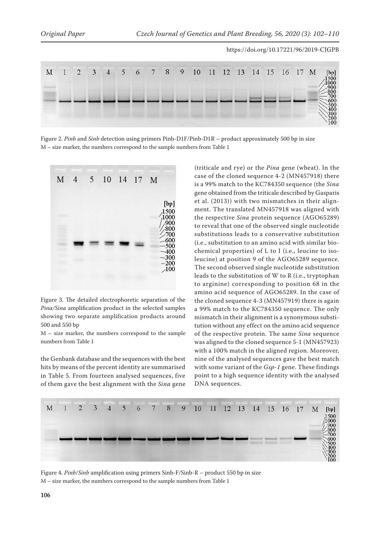

Figure 2. *Pinb* and *Sinb* detection using primers Pinb-D1F/Pinb-D1R – product approximately 500 bp in size M – size marker, the numbers correspond to the sample numbers from Table 1



Figure 3. The detailed electrophoretic separation of the *Pina/Sina* amplification product in the selected samples showing two separate amplification products around 500 and 550 bp

M – size marker, the numbers correspond to the sample numbers from Table 1

the Genbank database and the sequences with the best hits by means of the percent identity are summarised in Table 5. From fourteen analysed sequences, five of them gave the best alignment with the *Sina* gene

(triticale and rye) or the *Pina* gene (wheat). In the case of the cloned sequence 4-2 (MN457918) there is a 99% match to the KC784350 sequence (the *Sina* gene obtained from the triticale described by Gasparis et al. (2013)) with two mismatches in their alignment. The translated MN457918 was aligned with the respective *Sina* protein sequence (AGO65289) to reveal that one of the observed single nucleotide substitutions leads to a conservative substitution (i.e., substitution to an amino acid with similar biochemical properties) of L to I (i.e., leucine to isoleucine) at position 9 of the AGO65289 sequence. The second observed single nucleotide substitution leads to the substitution of W to R (i.e., tryptophan to arginine) corresponding to position 68 in the amino acid sequence of AGO65289. In the case of the cloned sequence 4-3 (MN457919) there is again a 99% match to the KC784350 sequence. The only mismatch in their alignment is a synonymous substitution without any effect on the amino acid sequence of the respective protein. The same *Sina* sequence was aligned to the cloned sequence 5-1 (MN457923) with a 100% match in the aligned region. Moreover, nine of the analysed sequences gave the best match with some variant of the *Gsp-1* gene. These findings point to a high sequence identity with the analysed DNA sequences.



Figure 4. *Pinb*/*Sinb* amplification using primers Sinb-F/Sinb-R – product 550 bp in size M – size marker, the numbers correspond to the sample numbers from Table 1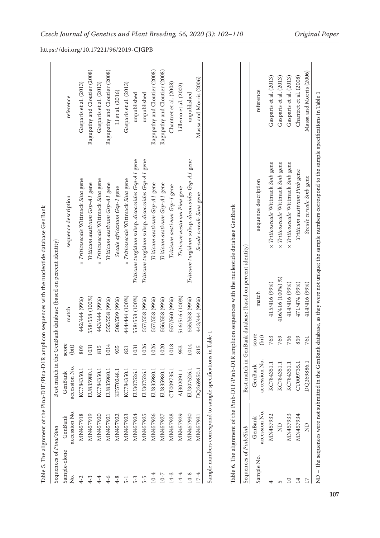| $\overline{\phantom{a}}$                                                                                                                                                                                                                                                                                                                 |
|------------------------------------------------------------------------------------------------------------------------------------------------------------------------------------------------------------------------------------------------------------------------------------------------------------------------------------------|
|                                                                                                                                                                                                                                                                                                                                          |
|                                                                                                                                                                                                                                                                                                                                          |
|                                                                                                                                                                                                                                                                                                                                          |
|                                                                                                                                                                                                                                                                                                                                          |
|                                                                                                                                                                                                                                                                                                                                          |
|                                                                                                                                                                                                                                                                                                                                          |
|                                                                                                                                                                                                                                                                                                                                          |
|                                                                                                                                                                                                                                                                                                                                          |
|                                                                                                                                                                                                                                                                                                                                          |
|                                                                                                                                                                                                                                                                                                                                          |
|                                                                                                                                                                                                                                                                                                                                          |
|                                                                                                                                                                                                                                                                                                                                          |
|                                                                                                                                                                                                                                                                                                                                          |
|                                                                                                                                                                                                                                                                                                                                          |
|                                                                                                                                                                                                                                                                                                                                          |
|                                                                                                                                                                                                                                                                                                                                          |
|                                                                                                                                                                                                                                                                                                                                          |
|                                                                                                                                                                                                                                                                                                                                          |
|                                                                                                                                                                                                                                                                                                                                          |
|                                                                                                                                                                                                                                                                                                                                          |
|                                                                                                                                                                                                                                                                                                                                          |
|                                                                                                                                                                                                                                                                                                                                          |
| こくしょく こくしょう                                                                                                                                                                                                                                                                                                                              |
|                                                                                                                                                                                                                                                                                                                                          |
|                                                                                                                                                                                                                                                                                                                                          |
|                                                                                                                                                                                                                                                                                                                                          |
| ı                                                                                                                                                                                                                                                                                                                                        |
|                                                                                                                                                                                                                                                                                                                                          |
|                                                                                                                                                                                                                                                                                                                                          |
|                                                                                                                                                                                                                                                                                                                                          |
| $\frac{1}{2}$                                                                                                                                                                                                                                                                                                                            |
|                                                                                                                                                                                                                                                                                                                                          |
|                                                                                                                                                                                                                                                                                                                                          |
|                                                                                                                                                                                                                                                                                                                                          |
|                                                                                                                                                                                                                                                                                                                                          |
|                                                                                                                                                                                                                                                                                                                                          |
| ֖֖֖֖֖֖֖֖֧ׅ֖֖֧֪֪ׅ֖֧֪֪֪֪֪֪֪֪֪֪֪֪֪֪֪֪֪֪֪֪֪֪֪֪֪֪֪֪֪֪֪֪֪֚֚֚֚֚֚֚֚֚֚֚֚֚֚֚֚֚֚֚֚֚֬֝֬֝֓֝֓֞                                                                                                                                                                                                                                                         |
| $\frac{1}{2}$                                                                                                                                                                                                                                                                                                                            |
| $\begin{bmatrix} 1 & 1 & 1 \\ 1 & 1 & 1 \\ 1 & 1 & 1 \\ 1 & 1 & 1 \\ 1 & 1 & 1 \\ 1 & 1 & 1 \\ 1 & 1 & 1 \\ 1 & 1 & 1 \\ 1 & 1 & 1 \\ 1 & 1 & 1 \\ 1 & 1 & 1 \\ 1 & 1 & 1 \\ 1 & 1 & 1 \\ 1 & 1 & 1 \\ 1 & 1 & 1 & 1 \\ 1 & 1 & 1 & 1 \\ 1 & 1 & 1 & 1 \\ 1 & 1 & 1 & 1 \\ 1 & 1 & 1 & 1 \\ 1 & 1 & 1 & 1 \\ 1 & 1 & 1 & 1 \\ 1 & $<br>I |
|                                                                                                                                                                                                                                                                                                                                          |
|                                                                                                                                                                                                                                                                                                                                          |
| i<br>1<br>1<br>1                                                                                                                                                                                                                                                                                                                         |
|                                                                                                                                                                                                                                                                                                                                          |
|                                                                                                                                                                                                                                                                                                                                          |
|                                                                                                                                                                                                                                                                                                                                          |
| l                                                                                                                                                                                                                                                                                                                                        |
|                                                                                                                                                                                                                                                                                                                                          |
|                                                                                                                                                                                                                                                                                                                                          |
|                                                                                                                                                                                                                                                                                                                                          |
|                                                                                                                                                                                                                                                                                                                                          |
|                                                                                                                                                                                                                                                                                                                                          |
|                                                                                                                                                                                                                                                                                                                                          |
|                                                                                                                                                                                                                                                                                                                                          |
|                                                                                                                                                                                                                                                                                                                                          |
|                                                                                                                                                                                                                                                                                                                                          |
|                                                                                                                                                                                                                                                                                                                                          |
|                                                                                                                                                                                                                                                                                                                                          |
|                                                                                                                                                                                                                                                                                                                                          |
| i                                                                                                                                                                                                                                                                                                                                        |
|                                                                                                                                                                                                                                                                                                                                          |
|                                                                                                                                                                                                                                                                                                                                          |
|                                                                                                                                                                                                                                                                                                                                          |
| ļ                                                                                                                                                                                                                                                                                                                                        |
|                                                                                                                                                                                                                                                                                                                                          |
| I                                                                                                                                                                                                                                                                                                                                        |
| j<br>ׅ֘֒                                                                                                                                                                                                                                                                                                                                 |
|                                                                                                                                                                                                                                                                                                                                          |

| Sequences of Pina/Sina |                          |                          |                |                | Best match in the GenBank database (based on percent identity) |                               |
|------------------------|--------------------------|--------------------------|----------------|----------------|----------------------------------------------------------------|-------------------------------|
| Sample-clone<br>ż.     | accession No.<br>GenBank | accession No.<br>GenBank | score<br>(bit) | match          | sequence description                                           | reference                     |
| $4-2$                  | MN457918                 | KC784350.1               | 809            | 442/444 (99%)  | x Triticosecale Wittmack Sina gene                             | Gasparis et al. (2013)        |
| $4-3$                  | MN457919                 | EU835980.1               | 1031           | 558/558 (100%) | Triticum aestivum Gsp-A1 gene                                  | Ragupathy and Cloutier (2008) |
| 4-4                    | MN457920                 | KC784350.1               | 815            | 443/444 (99%)  | x Triticosecale Wittmack Sina gene                             | Gasparis et al. (2013)        |
| $4 - 6$                | MN457921                 | EU835980.1               | 1014           | 555/558 (99%)  | Triticum aestivum Gsp-A1 gene                                  | Ragupathy and Cloutier (2008) |
| $4 - 8$                | MN457922                 | KF570248.1               | 935            | 508/509 (99%)  | Secale africanum Gsp-1 gene                                    | Li et al. (2016)              |
| $\overline{5}$ -1      | MN457923                 | KC784350.1               | 821            | 444/444 (100%) | x Triticosecale Wittmack Sina gene                             | Gasparis et al. (2013)        |
| 5-3                    | MN457924                 | EU307526.1               | 1031           | 558/558 (100%) | Triticum turgidum subsp. dicoccoides Gsp-A1 gene               | unpublished                   |
| 5-5                    | MN457925                 | EU307526.1               | 1026           | 557/558 (99%)  | Triticum turgidum subsp. dicoccoides Gsp-A1 gene               | unpublished                   |
| $10 - 4$               | MN457926                 | EU835980.1               | 1026           | 557/558 (99%)  | Triticum aestivum Gsp-A1 gene                                  | Ragupathy and Cloutier (2008) |
| $10 - 7$               | MN457927                 | EU835980.1               | 1020           | 556/558 (99%)  | Triticum aestivum Gsp-A1 gene                                  | Ragupathy and Cloutier (2008) |
| $14-3$                 | MN457928                 | CT009735.1               | 1018           | 557/560 (99%)  | Triticum aestivum Gsp-1 gene                                   | Chantret et al. (2008)        |
| $14 - 4$               | MN457929                 | AJ302091.1               | 953            | 516/516 (100%) | Triticum aestivum Pina gene                                    | Lillemo et al. (2002)         |
| 14-8                   | MN457930                 | EU307526.1               | 1014           | 555/558 (99%)  | Triticum turgidum subsp. dicoccoides Gsp-A1 gene               | unpublished                   |
| $17 - 4$               | MN457931                 | DQ269850.1               | 815            | 443/444 (99%)  | Secale cereale Sina gene                                       | Massa and Morris (2006)       |

| Sequences of Pinb/Sinb |                          |                          |                | Best match in GenBank database (based on percent identity) |                                    |                         |
|------------------------|--------------------------|--------------------------|----------------|------------------------------------------------------------|------------------------------------|-------------------------|
| Sample No.             | accession No.<br>GenBank | accession No.<br>GenBank | score<br>(bit) | match                                                      | sequence description               | reference               |
|                        | MN457932                 | KC784351.1               | 763            | 415/416 (99%)                                              | x Triticosecale Wittmack Sinb gene | Gasparis et al. (2013)  |
|                        | $\Xi$                    | KC784351.1               | 769            | 416/416 (100%) %)                                          | x Triticosecale Wittmack Sinb gene | Gasparis et al. (2013)  |
|                        | MN457933                 | KC784351.1               | 756            | 414/416 (99%)                                              | x Triticosecale Wittmack Sinb gene | Gasparis et al. (2013)  |
|                        | MN457934                 | CT009735.1               | 859            | 471/474 (99%)                                              | Triticum aestivum Pinb gene        | Chantret et al. (2008)  |
|                        |                          | DQ269886.1               | 761            | 414/416 (99%)                                              | Secale cereale Sinb gene           | Massa and Morris (2006) |

Table 6. The alignment of the Pinb-D1F/Pinb-D1R amplicon sequences with the nucleotide database GenBank Table 6. The alignment of the Pinb-D1F/Pinb-D1R amplicon sequences with the nucleotide database GenBank ND - The sequences were not submitted in the GenBank database, as they were not unique; the sample numbers correspond to the sample specifications in Table 1 ND – The sequences were not submitted in the GenBank database, as they were not unique; the sample numbers correspond to the sample specifications in Table 1

https://doi.org/10.17221/96/2019-CJGPB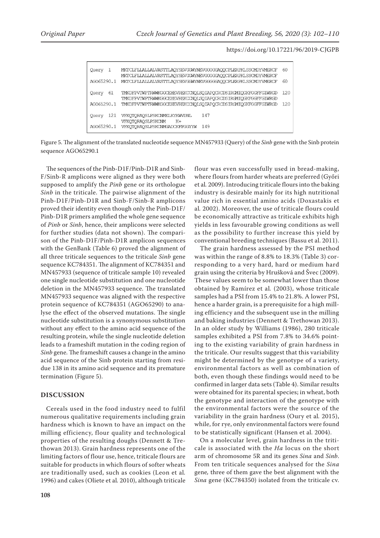| Query<br>-1  | MKTCLFLIALIALVASTTLAOYSEVGGWYNEVGGGGGAQOCPLERPKLSSCMDYVMERCF<br>MKTCLFIIALIALVASTTLAQYSEVGGWYNEVGGGGGAQQCPLERPKLSSCMDYVMERCF | 60  |
|--------------|------------------------------------------------------------------------------------------------------------------------------|-----|
| AGO65290.1   | MKTCLFLIALIALVASTTLAOYSEVGGWYNEVGGGGGAOOCPLERPKLSSCMDYVMERCF                                                                 | 60  |
| 61<br>Query  | TMKDFPVTWPTRWWKGGCEHEVREKCCNOLSOIAPOCRCDSIRGMIQGKFGGFFGIWRGD<br>TMKDFPVTWPTRWWKGGCEHEVREKCCNOLSOIAPOCRCDSIRGMIOGKFGGFFGIWRGD | 120 |
| AG065290.1   | TMKDFPVTWPTRWWKGGCEHEVREKCCNOLSOIAPOCRCDSIRGMIOGKFGGFFGIWRGD                                                                 | 120 |
| 121<br>Ouery | 147<br>VFKQTQRAQSLPSKCNMELKYKWVDNL<br>VFKOTORAOSLPSKCNM<br>$K+$                                                              |     |
| AGO65290.1   | VFKOTORAOSLPSKCNMGADCKFPGGYYW<br>149                                                                                         |     |

Figure 5. The alignment of the translated nucleotide sequence MN457933 (Query) of the *Sinb* gene with the Sinb protein sequence AGO65290.1

The sequences of the Pinb-D1F/Pinb-D1R and Sinb-F/Sinb-R amplicons were aligned as they were both supposed to amplify the *Pinb* gene or its orthologue *Sinb* in the triticale. The pairwise alignment of the Pinb-D1F/Pinb-D1R and Sinb-F/Sinb-R amplicons proved their identity even though only the Pinb-D1F/ Pinb-D1R primers amplified the whole gene sequence of *Pinb* or *Sinb*, hence, their amplicons were selected for further studies (data not shown). The comparison of the Pinb-D1F/Pinb-D1R amplicon sequences with the GenBank (Table 6) proved the alignment of all three triticale sequences to the triticale *Sinb* gene sequence KC784351. The alignment of KC784351 and MN457933 (sequence of triticale sample 10) revealed one single nucleotide substitution and one nucleotide deletion in the MN457933 sequence. The translated MN457933 sequence was aligned with the respective protein sequence of KC784351 (AGO65290) to analyse the effect of the observed mutations. The single nucleotide substitution is a synonymous substitution without any effect to the amino acid sequence of the resulting protein, while the single nucleotide deletion leads to a frameshift mutation in the coding region of *Sinb* gene. The frameshift causes a change in the amino acid sequence of the Sinb protein starting from residue 138 in its amino acid sequence and its premature termination (Figure 5).

## **DISCUSSION**

Cereals used in the food industry need to fulfil numerous qualitative requirements including grain hardness which is known to have an impact on the milling efficiency, flour quality and technological properties of the resulting doughs (Dennett & Trethowan 2013). Grain hardness represents one of the limiting factors of flour use, hence, triticale flours are suitable for products in which flours of softer wheats are traditionally used, such as cookies (Leon et al*.* 1996) and cakes (Oliete et al*.* 2010), although triticale

flour was even successfully used in bread-making, where flours from harder wheats are preferred (Győri et al*.* 2009). Introducing triticale flours into the baking industry is desirable mainly for its high nutritional value rich in essential amino acids (Doxastakis et al*.* 2002). Moreover, the use of triticale flours could be economically attractive as triticale exhibits high yields in less favourable growing conditions as well as the possibility to further increase this yield by conventional breeding techniques (Bassu et al. 2011).

The grain hardness assessed by the PSI method was within the range of 8.8% to 18.3% (Table 3) corresponding to a very hard, hard or medium hard grain using the criteria by Hrušková and Švec (2009). These values seem to be somewhat lower than those obtained by Ramírez et al*.* (2003), whose triticale samples had a PSI from 15.4% to 21.8%. A lower PSI, hence a harder grain, is a prerequisite for a high milling efficiency and the subsequent use in the milling and baking industries (Dennett & Trethowan 2013). In an older study by Williams (1986), 280 triticale samples exhibited a PSI from 7.8% to 34.6% pointing to the existing variability of grain hardness in the triticale. Our results suggest that this variability might be determined by the genotype of a variety, environmental factors as well as combination of both, even though these findings would need to be confirmed in larger data sets (Table 4). Similar results were obtained for its parental species; in wheat, both the genotype and interaction of the genotype with the environmental factors were the source of the variability in the grain hardness (Oury et al*.* 2015), while, for rye, only environmental factors were found to be statistically significant (Hansen et al*.* 2004).

On a molecular level, grain hardness in the triticale is associated with the *Ha* locus on the short arm of chromosome 5R and its genes *Sina* and *Sinb*. From ten triticale sequences analysed for the *Sina* gene*,* three of them gave the best alignment with the *Sina* gene (KC784350) isolated from the triticale cv.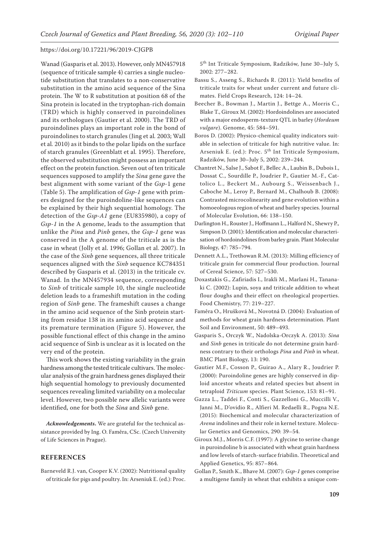Wanad (Gasparis et al. 2013). However, only MN457918 (sequence of triticale sample 4) carries a single nucleotide substitution that translates to a non-conservative substitution in the amino acid sequence of the Sina protein. The W to R substitution at position 68 of the Sina protein is located in the tryptophan-rich domain (TRD) which is highly conserved in puroindolines and its orthologues (Gautier et al. 2000). The TRD of puroindolines plays an important role in the bond of puroindolines to starch granules (Jing et al*.* 2003; Wall et al*.* 2010) as it binds to the polar lipids on the surface of starch granules (Greenblatt et al*.* 1995). Therefore, the observed substitution might possess an important effect on the protein function. Seven out of ten triticale sequences supposed to amplify the *Sina* gene gave the best alignment with some variant of the *Gsp-*1 gene (Table 5). The amplification of *Gsp-1* gene with primers designed for the puroindoline-like sequences can be explained by their high sequential homology. The detection of the *Gsp-A1* gene (EU835980), a copy of *Gsp-1* in the A genome, leads to the assumption that unlike the *Pina* and *Pinb* genes, the *Gsp-1* gene was conserved in the A genome of the triticale as is the case in wheat (Jolly et al. 1996; Gollan et al. 2007). In the case of the *Sinb* gene sequences, all three triticale sequences aligned with the *Sinb* sequence KC784351 described by Gasparis et al. (2013) in the triticale cv. Wanad. In the MN457934 sequence, corresponding to *Sinb* of triticale sample 10, the single nucleotide deletion leads to a frameshift mutation in the coding region of *Sinb* gene. The frameshift causes a change in the amino acid sequence of the Sinb protein starting from residue 138 in its amino acid sequence and its premature termination (Figure 5). However, the possible functional effect of this change in the amino acid sequence of Sinb is unclear as it is located on the very end of the protein.

This work shows the existing variability in the grain hardness among the tested triticale cultivars. The molecular analysis of the grain hardness genes displayed their high sequential homology to previously documented sequences revealing limited variability on a molecular level. However, two possible new allelic variants were identified, one for both the *Sina* and *Sinb* gene.

*Acknowledgements***.** We are grateful for the technical assistance provided by Ing. O. Faměra, CSc. (Czech University of Life Sciences in Prague).

# **References**

Barneveld R.J. van, Cooper K.V. (2002): Nutritional quality of triticale for pigs and poultry. In: Arseniuk E. (ed.): Proc. 5th Int Triticale Symposium, Radzików, June 30–July 5, 2002: 277–282.

- Bassu S., Asseng S., Richards R. (2011): Yield benefits of triticale traits for wheat under current and future climates. Field Crops Research, 124: 14–24.
- Beecher B., Bowman J., Martin J., Bettge A., Morris C., Blake T., Giroux M. (2002): Hordoindolines are associated with a major endosperm-texture QTL in barley (*Hordeum vulgare*). Genome, 45: 584–591.
- Boros D. (2002): Physico-chemical quality indicators suitable in selection of triticale for high nutritive value. In: Arseniuk E. (ed.): Proc. 5<sup>th</sup> Int Triticale Symposium, Radzików, June 30–July 5, 2002: 239–244.
- Chantret N., Salse J., Sabot F., Bellec A., Laubin B., Dubois I., Dossat C., Sourdille P., Joudrier P., Gautier M.-F., Cattolico L., Beckert M., Aubourg S., Weissenbach J., Caboche M., Leroy P., Bernard M., Chalhoub B. (2008): Contrasted microcolinearity and gene evolution within a homoeologous region of wheat and barley species. Journal of Molecular Evolution, 66: 138–150.
- Darlington H., Rouster J., Hoffmann L., Halford N., Shewry P., Simpson D. (2001): Identification and molecular characterisation of hordoindolines from barley grain. Plant Molecular Biology, 47: 785–794.
- Dennett A.L., Trethowan R.M. (2013): Milling efficiency of triticale grain for commercial flour production. Journal of Cereal Science, 57: 527–530.
- Doxastakis G., Zafiriadis I., Irakli M., Marlani H., Tananaki C. (2002): Lupin, soya and triticale addition to wheat flour doughs and their effect on rheological properties. Food Chemistry, 77: 219–227.
- Faměra O., Hrušková M., Novotná D. (2004): Evaluation of methods for wheat grain hardness determination. Plant Soil and Environment, 50: 489–493.
- Gasparis S., Orczyk W., Nadolska-Orczyk A. (2013): *Sina* and *Sinb* genes in triticale do not determine grain hardness contrary to their orthologs *Pina* and *Pinb* in wheat. BMC Plant Biology, 13: 190.
- Gautier M.F., Cosson P., Guirao A., Alary R., Joudrier P. (2000): Puroindoline genes are highly conserved in diploid ancestor wheats and related species but absent in tetraploid *Triticum* species. Plant Science, 153: 81–91.
- Gazza L., Taddei F., Conti S., Gazzelloni G., Muccilli V., Janni M., D'ovidio R., Alfieri M. Redaelli R., Pogna N.E. (2015): Biochemical and molecular characterization of *Avena* indolines and their role in kernel texture. Molecular Genetics and Genomics, 290: 39–54.
- Giroux M.J., Morris C.F. (1997): A glycine to serine change in puroindoline b is associated with wheat grain hardness and low levels of starch-surface friabilin. Theoretical and Applied Genetics, 95: 857–864.
- Gollan P., Smith K., Bhave M. (2007): *Gsp-1* genes comprise a multigene family in wheat that exhibits a unique com-